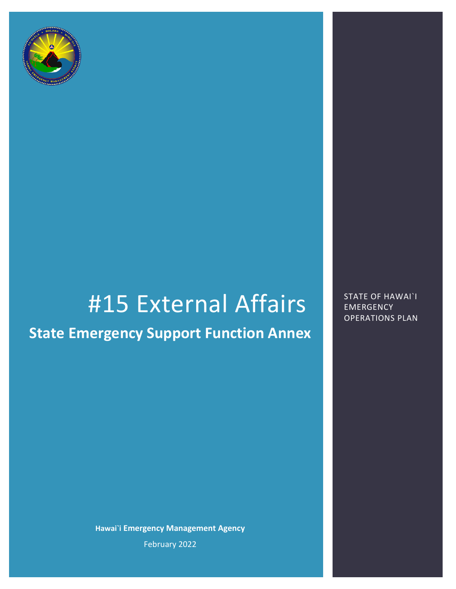

# #15 External Affairs STATE OF HAWAI`I

## **State Emergency Support Function Annex**

**Hawai`i Emergency Management Agency** February 2022

**EMERGENCY** OPERATIONS PLAN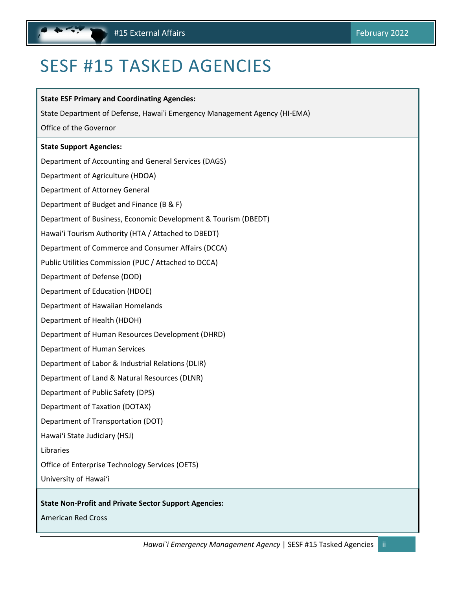## <span id="page-1-1"></span><span id="page-1-0"></span>SESF #15 TASKED AGENCIES

| <b>State ESF Primary and Coordinating Agencies:</b>                       |
|---------------------------------------------------------------------------|
| State Department of Defense, Hawai'i Emergency Management Agency (HI-EMA) |
| Office of the Governor                                                    |
| <b>State Support Agencies:</b>                                            |
| Department of Accounting and General Services (DAGS)                      |
| Department of Agriculture (HDOA)                                          |
| Department of Attorney General                                            |
| Department of Budget and Finance (B & F)                                  |
| Department of Business, Economic Development & Tourism (DBEDT)            |
| Hawai'i Tourism Authority (HTA / Attached to DBEDT)                       |
| Department of Commerce and Consumer Affairs (DCCA)                        |
| Public Utilities Commission (PUC / Attached to DCCA)                      |
| Department of Defense (DOD)                                               |
| Department of Education (HDOE)                                            |
| Department of Hawaiian Homelands                                          |
| Department of Health (HDOH)                                               |
| Department of Human Resources Development (DHRD)                          |
| Department of Human Services                                              |
| Department of Labor & Industrial Relations (DLIR)                         |
| Department of Land & Natural Resources (DLNR)                             |
| Department of Public Safety (DPS)                                         |
| <b>Department of Taxation (DOTAX)</b>                                     |
| Department of Transportation (DOT)                                        |
| Hawai'i State Judiciary (HSJ)                                             |
| Libraries                                                                 |
| Office of Enterprise Technology Services (OETS)                           |
| University of Hawai'i                                                     |
|                                                                           |

#### **State Non-Profit and Private Sector Support Agencies:**

American Red Cross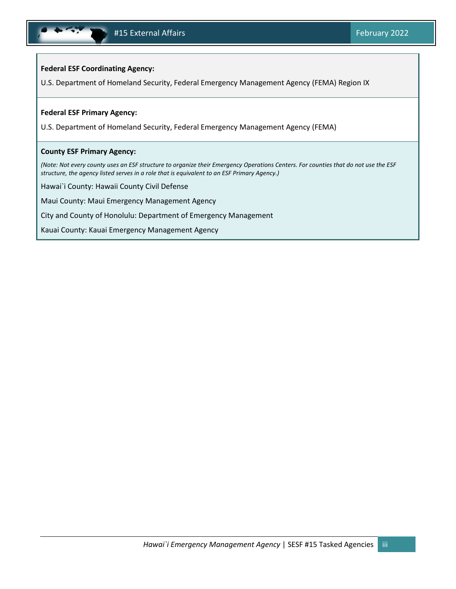#### **Federal ESF Coordinating Agency:**

U.S. Department of Homeland Security, Federal Emergency Management Agency (FEMA) Region IX

#### **Federal ESF Primary Agency:**

U.S. Department of Homeland Security, Federal Emergency Management Agency (FEMA)

#### **County ESF Primary Agency:**

*(Note: Not every county uses an ESF structure to organize their Emergency Operations Centers. For counties that do not use the ESF structure, the agency listed serves in a role that is equivalent to an ESF Primary Agency.)* 

Hawai`i County: Hawaii County Civil Defense

Maui County: Maui Emergency Management Agency

City and County of Honolulu: Department of Emergency Management

Kauai County: Kauai Emergency Management Agency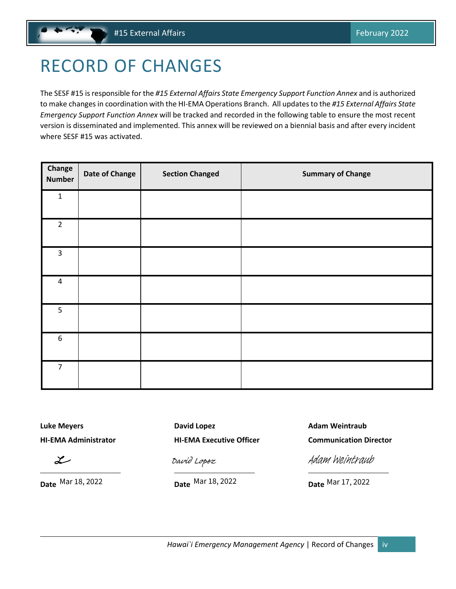## <span id="page-3-1"></span><span id="page-3-0"></span>RECORD OF CHANGES

The SESF #15 is responsible for the *#15 External Affairs State Emergency Support Function Annex* and is authorized to make changesin coordination with the HI-EMA Operations Branch. All updates to the *#15 External Affairs State Emergency Support Function Annex* will be tracked and recorded in the following table to ensure the most recent version is disseminated and implemented. This annex will be reviewed on a biennial basis and after every incident where SESF #15 was activated.

| Change<br><b>Number</b> | <b>Date of Change</b> | <b>Section Changed</b> | <b>Summary of Change</b> |
|-------------------------|-----------------------|------------------------|--------------------------|
| $\mathbf 1$             |                       |                        |                          |
| $\overline{2}$          |                       |                        |                          |
| $\mathsf{3}$            |                       |                        |                          |
| $\pmb{4}$               |                       |                        |                          |
| 5                       |                       |                        |                          |
| $\boldsymbol{6}$        |                       |                        |                          |
| $\overline{7}$          |                       |                        |                          |

 $\chi$ 

**Luke Meyers David Lopez Communist Example 2 Adam Weintraub** 

*[David Lopez](https://stateofhawaii.na1.adobesign.com/verifier?tx=CBJCHBCAABAA0FgxUzUNOODYp6s4imiYyjNpeKuEUmXq)*<br>
Date Mar 18, 2022<br>
Date Mar 18, 2022<br>
Date Mar 18, 2022<br>
Date Mar 17, 2022

**HI-EMA Administrator HI-EMA Executive Officer Communication Director**

[Adam Weintraub](https://stateofhawaii.na1.adobesign.com/verifier?tx=CBJCHBCAABAA0FgxUzUNOODYp6s4imiYyjNpeKuEUmXq)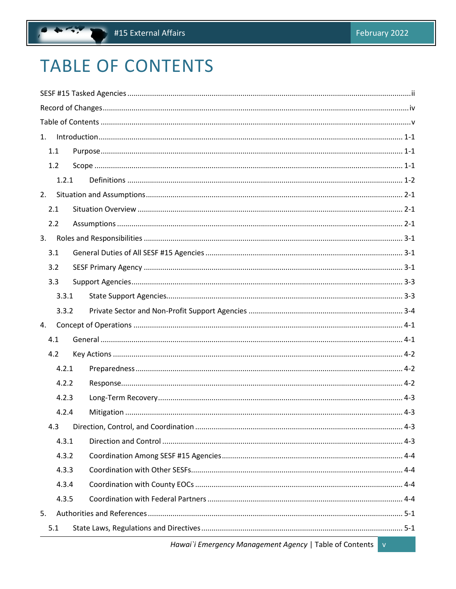## <span id="page-4-0"></span>**TABLE OF CONTENTS**

 $\ddot{\phantom{a}}$ 

| 1. |       |  |  |  |
|----|-------|--|--|--|
|    | 1.1   |  |  |  |
|    | 1.2   |  |  |  |
|    | 1.2.1 |  |  |  |
| 2. |       |  |  |  |
|    | 2.1   |  |  |  |
|    | 2.2   |  |  |  |
| 3. |       |  |  |  |
|    | 3.1   |  |  |  |
|    | 3.2   |  |  |  |
|    | 3.3   |  |  |  |
|    | 3.3.1 |  |  |  |
|    | 3.3.2 |  |  |  |
| 4. |       |  |  |  |
|    | 4.1   |  |  |  |
|    | 4.2   |  |  |  |
|    | 4.2.1 |  |  |  |
|    | 4.2.2 |  |  |  |
|    | 4.2.3 |  |  |  |
|    | 4.2.4 |  |  |  |
|    | 4.3   |  |  |  |
|    | 4.3.1 |  |  |  |
|    | 4.3.2 |  |  |  |
|    | 4.3.3 |  |  |  |
|    | 4.3.4 |  |  |  |
|    | 4.3.5 |  |  |  |
| 5. |       |  |  |  |
|    |       |  |  |  |
|    | 5.1   |  |  |  |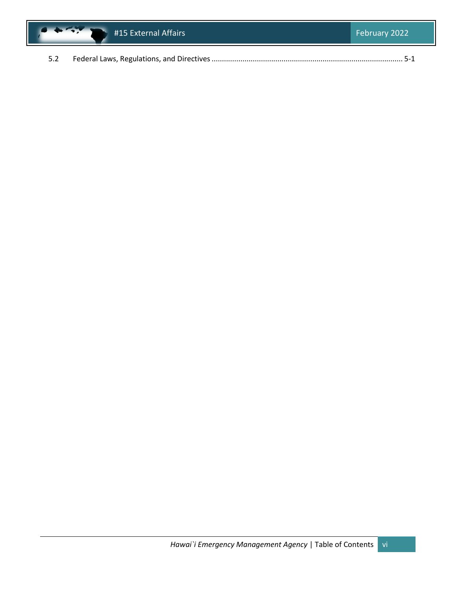

|--|--|--|--|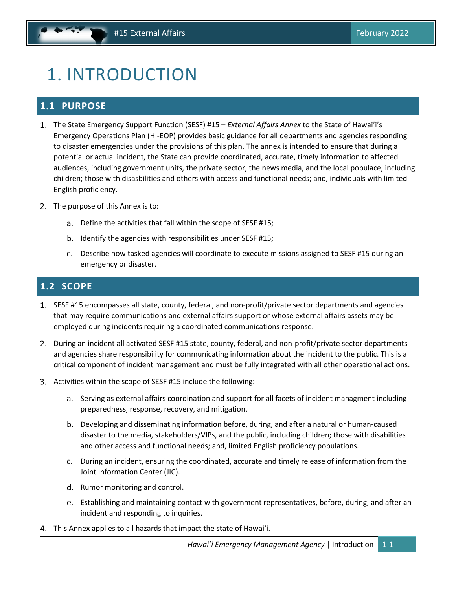## <span id="page-6-3"></span><span id="page-6-0"></span>1. INTRODUCTION

### <span id="page-6-1"></span>**1.1 PURPOSE**

- The State Emergency Support Function (SESF) #15 *External Affairs Annex* to the State of Hawai'i's Emergency Operations Plan (HI-EOP) provides basic guidance for all departments and agencies responding to disaster emergencies under the provisions of this plan. The annex is intended to ensure that during a potential or actual incident, the State can provide coordinated, accurate, timely information to affected audiences, including government units, the private sector, the news media, and the local populace, including children; those with disasbilities and others with access and functional needs; and, individuals with limited English proficiency.
- 2. The purpose of this Annex is to:
	- a. Define the activities that fall within the scope of SESF #15;
	- b. Identify the agencies with responsibilities under SESF #15;
	- Describe how tasked agencies will coordinate to execute missions assigned to SESF #15 during an emergency or disaster.

## <span id="page-6-2"></span>**1.2 SCOPE**

- 1. SESF #15 encompasses all state, county, federal, and non-profit/private sector departments and agencies that may require communications and external affairs support or whose external affairs assets may be employed during incidents requiring a coordinated communications response.
- During an incident all activated SESF #15 state, county, federal, and non-profit/private sector departments and agencies share responsibility for communicating information about the incident to the public. This is a critical component of incident management and must be fully integrated with all other operational actions.
- Activities within the scope of SESF #15 include the following:
	- a. Serving as external affairs coordination and support for all facets of incident managment including preparedness, response, recovery, and mitigation.
	- b. Developing and disseminating information before, during, and after a natural or human-caused disaster to the media, stakeholders/VIPs, and the public, including children; those with disabilities and other access and functional needs; and, limited English proficiency populations.
	- During an incident, ensuring the coordinated, accurate and timely release of information from the Joint Information Center (JIC).
	- d. Rumor monitoring and control.
	- e. Establishing and maintaining contact with government representatives, before, during, and after an incident and responding to inquiries.
- This Annex applies to all hazards that impact the state of Hawaiʻi.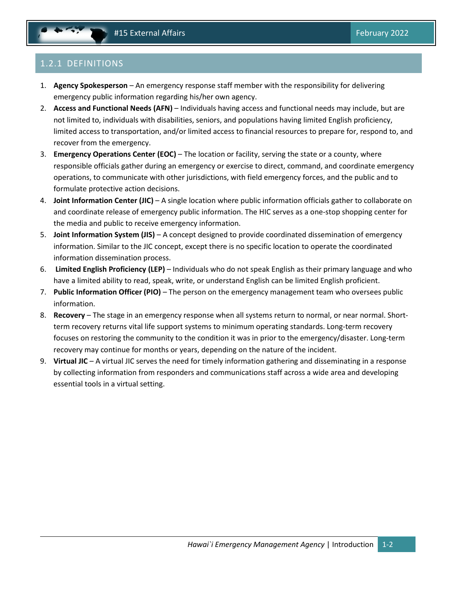## <span id="page-7-1"></span><span id="page-7-0"></span>1.2.1 DEFINITIONS

- 1. **Agency Spokesperson** An emergency response staff member with the responsibility for delivering emergency public information regarding his/her own agency.
- 2. **Access and Functional Needs (AFN)** Individuals having access and functional needs may include, but are not limited to, individuals with disabilities, seniors, and populations having limited English proficiency, limited access to transportation, and/or limited access to financial resources to prepare for, respond to, and recover from the emergency.
- 3. **Emergency Operations Center (EOC)** The location or facility, serving the state or a county, where responsible officials gather during an emergency or exercise to direct, command, and coordinate emergency operations, to communicate with other jurisdictions, with field emergency forces, and the public and to formulate protective action decisions.
- 4. **Joint Information Center (JIC)** A single location where public information officials gather to collaborate on and coordinate release of emergency public information. The HIC serves as a one-stop shopping center for the media and public to receive emergency information.
- 5. **Joint Information System (JIS)** A concept designed to provide coordinated dissemination of emergency information. Similar to the JIC concept, except there is no specific location to operate the coordinated information dissemination process.
- 6. **Limited English Proficiency (LEP)** Individuals who do not speak English as their primary language and who have a limited ability to read, speak, write, or understand English can be limited English proficient.
- 7. **Public Information Officer (PIO)** The person on the emergency management team who oversees public information.
- 8. **Recovery** The stage in an emergency response when all systems return to normal, or near normal. Shortterm recovery returns vital life support systems to minimum operating standards. Long-term recovery focuses on restoring the community to the condition it was in prior to the emergency/disaster. Long-term recovery may continue for months or years, depending on the nature of the incident.
- 9. **Virtual JIC** A virtual JIC serves the need for timely information gathering and disseminating in a response by collecting information from responders and communications staff across a wide area and developing essential tools in a virtual setting.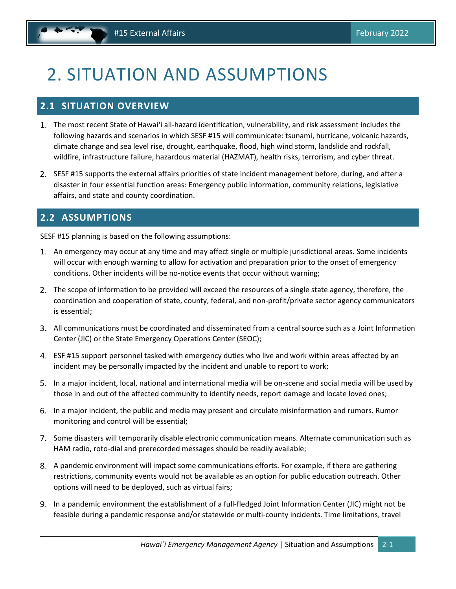## <span id="page-8-3"></span><span id="page-8-0"></span>2. SITUATION AND ASSUMPTIONS

### <span id="page-8-1"></span>**2.1 SITUATION OVERVIEW**

- The most recent State of Hawaiʻi all-hazard identification, vulnerability, and risk assessment includes the following hazards and scenarios in which SESF #15 will communicate: tsunami, hurricane, volcanic hazards, climate change and sea level rise, drought, earthquake, flood, high wind storm, landslide and rockfall, wildfire, infrastructure failure, hazardous material (HAZMAT), health risks, terrorism, and cyber threat.
- 2. SESF #15 supports the external affairs priorities of state incident management before, during, and after a disaster in four essential function areas: Emergency public information, community relations, legislative affairs, and state and county coordination.

## <span id="page-8-2"></span>**2.2 ASSUMPTIONS**

SESF #15 planning is based on the following assumptions:

- An emergency may occur at any time and may affect single or multiple jurisdictional areas. Some incidents will occur with enough warning to allow for activation and preparation prior to the onset of emergency conditions. Other incidents will be no-notice events that occur without warning;
- 2. The scope of information to be provided will exceed the resources of a single state agency, therefore, the coordination and cooperation of state, county, federal, and non-profit/private sector agency communicators is essential;
- All communications must be coordinated and disseminated from a central source such as a Joint Information Center (JIC) or the State Emergency Operations Center (SEOC);
- ESF #15 support personnel tasked with emergency duties who live and work within areas affected by an incident may be personally impacted by the incident and unable to report to work;
- In a major incident, local, national and international media will be on-scene and social media will be used by those in and out of the affected community to identify needs, report damage and locate loved ones;
- In a major incident, the public and media may present and circulate misinformation and rumors. Rumor monitoring and control will be essential;
- 7. Some disasters will temporarily disable electronic communication means. Alternate communication such as HAM radio, roto-dial and prerecorded messages should be readily available;
- A pandemic environment will impact some communications efforts. For example, if there are gathering restrictions, community events would not be available as an option for public education outreach. Other options will need to be deployed, such as virtual fairs;
- In a pandemic environment the establishment of a full-fledged Joint Information Center (JIC) might not be feasible during a pandemic response and/or statewide or multi-county incidents. Time limitations, travel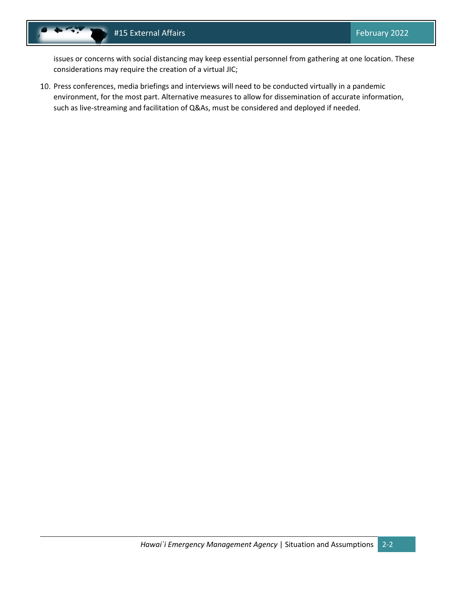issues or concerns with social distancing may keep essential personnel from gathering at one location. These considerations may require the creation of a virtual JIC;

10. Press conferences, media briefings and interviews will need to be conducted virtually in a pandemic environment, for the most part. Alternative measures to allow for dissemination of accurate information, such as live-streaming and facilitation of Q&As, must be considered and deployed if needed.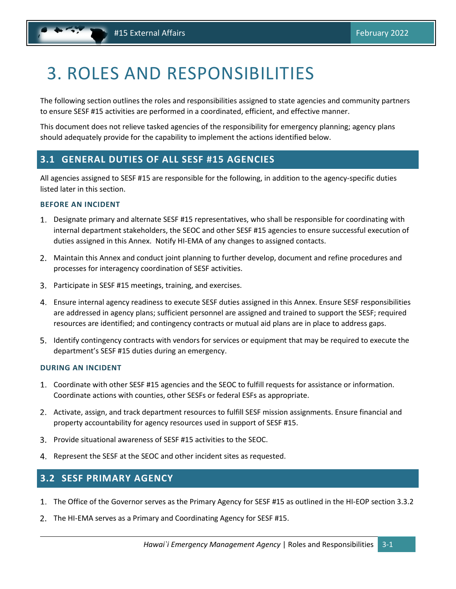## <span id="page-10-3"></span><span id="page-10-0"></span>3. ROLES AND RESPONSIBILITIES

The following section outlines the roles and responsibilities assigned to state agencies and community partners to ensure SESF #15 activities are performed in a coordinated, efficient, and effective manner.

This document does not relieve tasked agencies of the responsibility for emergency planning; agency plans should adequately provide for the capability to implement the actions identified below.

### <span id="page-10-1"></span>**3.1 GENERAL DUTIES OF ALL SESF #15 AGENCIES**

All agencies assigned to SESF #15 are responsible for the following, in addition to the agency-specific duties listed later in this section.

#### **BEFORE AN INCIDENT**

- Designate primary and alternate SESF #15 representatives, who shall be responsible for coordinating with internal department stakeholders, the SEOC and other SESF #15 agencies to ensure successful execution of duties assigned in this Annex. Notify HI-EMA of any changes to assigned contacts.
- Maintain this Annex and conduct joint planning to further develop, document and refine procedures and processes for interagency coordination of SESF activities.
- Participate in SESF #15 meetings, training, and exercises.
- Ensure internal agency readiness to execute SESF duties assigned in this Annex. Ensure SESF responsibilities are addressed in agency plans; sufficient personnel are assigned and trained to support the SESF; required resources are identified; and contingency contracts or mutual aid plans are in place to address gaps.
- Identify contingency contracts with vendors for services or equipment that may be required to execute the department's SESF #15 duties during an emergency.

#### **DURING AN INCIDENT**

- Coordinate with other SESF #15 agencies and the SEOC to fulfill requests for assistance or information. Coordinate actions with counties, other SESFs or federal ESFs as appropriate.
- 2. Activate, assign, and track department resources to fulfill SESF mission assignments. Ensure financial and property accountability for agency resources used in support of SESF #15.
- Provide situational awareness of SESF #15 activities to the SEOC.
- 4. Represent the SESF at the SEOC and other incident sites as requested.

### <span id="page-10-2"></span>**3.2 SESF PRIMARY AGENCY**

- The Office of the Governor serves as the Primary Agency for SESF #15 as outlined in the HI-EOP section 3.3.2
- 2. The HI-EMA serves as a Primary and Coordinating Agency for SESF #15.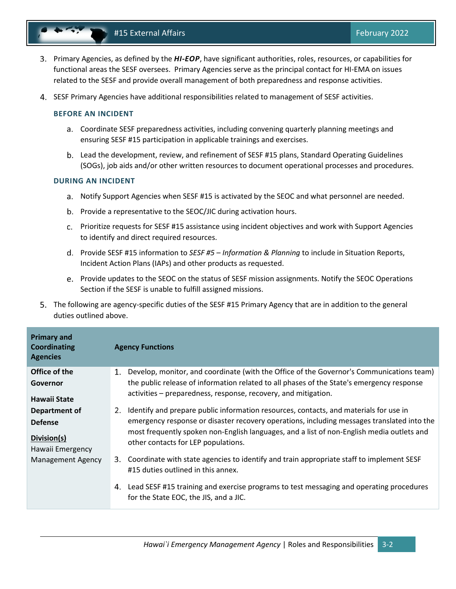- Primary Agencies, as defined by the *HI-EOP*, have significant authorities, roles, resources, or capabilities for functional areas the SESF oversees. Primary Agencies serve as the principal contact for HI-EMA on issues related to the SESF and provide overall management of both preparedness and response activities.
- SESF Primary Agencies have additional responsibilities related to management of SESF activities.

#### **BEFORE AN INCIDENT**

- Coordinate SESF preparedness activities, including convening quarterly planning meetings and ensuring SESF #15 participation in applicable trainings and exercises.
- b. Lead the development, review, and refinement of SESF #15 plans, Standard Operating Guidelines (SOGs), job aids and/or other written resources to document operational processes and procedures.

#### **DURING AN INCIDENT**

- Notify Support Agencies when SESF #15 is activated by the SEOC and what personnel are needed.
- b. Provide a representative to the SEOC/JIC during activation hours.
- Prioritize requests for SESF #15 assistance using incident objectives and work with Support Agencies to identify and direct required resources.
- Provide SESF #15 information to *SESF #5 – Information & Planning* to include in Situation Reports, Incident Action Plans (IAPs) and other products as requested.
- e. Provide updates to the SEOC on the status of SESF mission assignments. Notify the SEOC Operations Section if the SESF is unable to fulfill assigned missions.
- The following are agency-specific duties of the SESF #15 Primary Agency that are in addition to the general duties outlined above.

| <b>Primary and</b><br><b>Coordinating</b><br><b>Agencies</b> | <b>Agency Functions</b>                                                                                                                 |
|--------------------------------------------------------------|-----------------------------------------------------------------------------------------------------------------------------------------|
| Office of the                                                | Develop, monitor, and coordinate (with the Office of the Governor's Communications team)<br>1.                                          |
| Governor                                                     | the public release of information related to all phases of the State's emergency response                                               |
| Hawaii State                                                 | activities – preparedness, response, recovery, and mitigation.                                                                          |
| Department of                                                | Identify and prepare public information resources, contacts, and materials for use in<br>2.                                             |
| <b>Defense</b>                                               | emergency response or disaster recovery operations, including messages translated into the                                              |
| Division(s)<br>Hawaii Emergency                              | most frequently spoken non-English languages, and a list of non-English media outlets and<br>other contacts for LEP populations.        |
| Management Agency                                            | Coordinate with state agencies to identify and train appropriate staff to implement SESF<br>3.                                          |
|                                                              | #15 duties outlined in this annex.                                                                                                      |
|                                                              | Lead SESF #15 training and exercise programs to test messaging and operating procedures<br>4.<br>for the State EOC, the JIS, and a JIC. |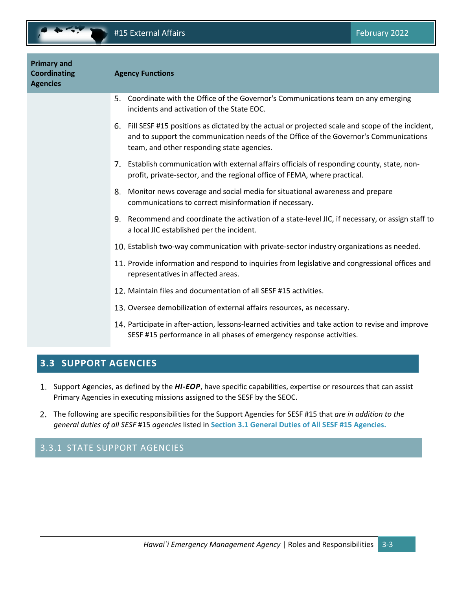<span id="page-12-2"></span>

| <b>Primary and</b><br><b>Coordinating</b><br><b>Agencies</b> | <b>Agency Functions</b>                                                                                                                                                                                                                      |
|--------------------------------------------------------------|----------------------------------------------------------------------------------------------------------------------------------------------------------------------------------------------------------------------------------------------|
|                                                              | Coordinate with the Office of the Governor's Communications team on any emerging<br>5.<br>incidents and activation of the State EOC.                                                                                                         |
|                                                              | Fill SESF #15 positions as dictated by the actual or projected scale and scope of the incident,<br>6.<br>and to support the communication needs of the Office of the Governor's Communications<br>team, and other responding state agencies. |
|                                                              | 7. Establish communication with external affairs officials of responding county, state, non-<br>profit, private-sector, and the regional office of FEMA, where practical.                                                                    |
|                                                              | Monitor news coverage and social media for situational awareness and prepare<br>8.<br>communications to correct misinformation if necessary.                                                                                                 |
|                                                              | Recommend and coordinate the activation of a state-level JIC, if necessary, or assign staff to<br>9.<br>a local JIC established per the incident.                                                                                            |
|                                                              | 10. Establish two-way communication with private-sector industry organizations as needed.                                                                                                                                                    |
|                                                              | 11. Provide information and respond to inquiries from legislative and congressional offices and<br>representatives in affected areas.                                                                                                        |
|                                                              | 12. Maintain files and documentation of all SESF #15 activities.                                                                                                                                                                             |
|                                                              | 13. Oversee demobilization of external affairs resources, as necessary.                                                                                                                                                                      |
|                                                              | 14. Participate in after-action, lessons-learned activities and take action to revise and improve<br>SESF #15 performance in all phases of emergency response activities.                                                                    |

## <span id="page-12-0"></span>**3.3 SUPPORT AGENCIES**

- 1. Support Agencies, as defined by the *HI-EOP*, have specific capabilities, expertise or resources that can assist Primary Agencies in executing missions assigned to the SESF by the SEOC.
- The following are specific responsibilities for the Support Agencies for SESF #15 that *are in addition to the general duties of all SESF* #15 *agencies* listed in **Sectio[n 3.1](#page-10-1) [General Duties of All SESF #15](#page-10-1) Agencies.**

## <span id="page-12-1"></span>3.3.1 STATE SUPPORT AGENCIES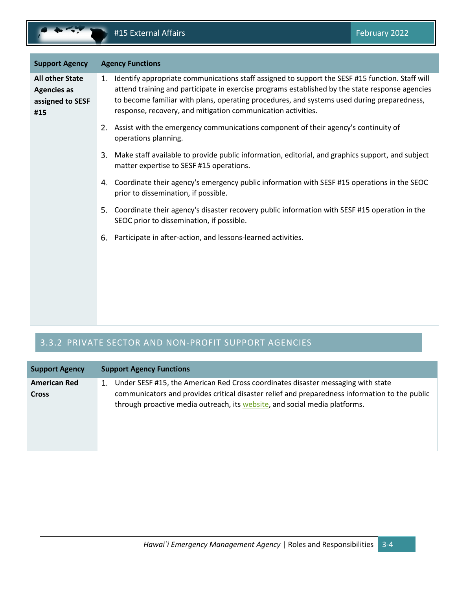<span id="page-13-1"></span>

| <b>Support Agency</b>                                                   | <b>Agency Functions</b>                                                                                                                                                                                                                                                                                                                                                |
|-------------------------------------------------------------------------|------------------------------------------------------------------------------------------------------------------------------------------------------------------------------------------------------------------------------------------------------------------------------------------------------------------------------------------------------------------------|
| <b>All other State</b><br><b>Agencies as</b><br>assigned to SESF<br>#15 | Identify appropriate communications staff assigned to support the SESF #15 function. Staff will<br>1.<br>attend training and participate in exercise programs established by the state response agencies<br>to become familiar with plans, operating procedures, and systems used during preparedness,<br>response, recovery, and mitigation communication activities. |
|                                                                         | 2. Assist with the emergency communications component of their agency's continuity of<br>operations planning.                                                                                                                                                                                                                                                          |
|                                                                         | Make staff available to provide public information, editorial, and graphics support, and subject<br>3.<br>matter expertise to SESF #15 operations.                                                                                                                                                                                                                     |
|                                                                         | Coordinate their agency's emergency public information with SESF #15 operations in the SEOC<br>4.<br>prior to dissemination, if possible.                                                                                                                                                                                                                              |
|                                                                         | Coordinate their agency's disaster recovery public information with SESF #15 operation in the<br>5.<br>SEOC prior to dissemination, if possible.                                                                                                                                                                                                                       |
|                                                                         | Participate in after-action, and lessons-learned activities.<br>6.                                                                                                                                                                                                                                                                                                     |
|                                                                         |                                                                                                                                                                                                                                                                                                                                                                        |
|                                                                         |                                                                                                                                                                                                                                                                                                                                                                        |
|                                                                         |                                                                                                                                                                                                                                                                                                                                                                        |

## <span id="page-13-0"></span>3.3.2 PRIVATE SECTOR AND NON-PROFIT SUPPORT AGENCIES

| <b>Support Agency</b> | <b>Support Agency Functions</b>                                                                                                                                              |
|-----------------------|------------------------------------------------------------------------------------------------------------------------------------------------------------------------------|
| <b>American Red</b>   | Under SESF #15, the American Red Cross coordinates disaster messaging with state<br>1.                                                                                       |
| <b>Cross</b>          | communicators and provides critical disaster relief and preparedness information to the public<br>through proactive media outreach, its website, and social media platforms. |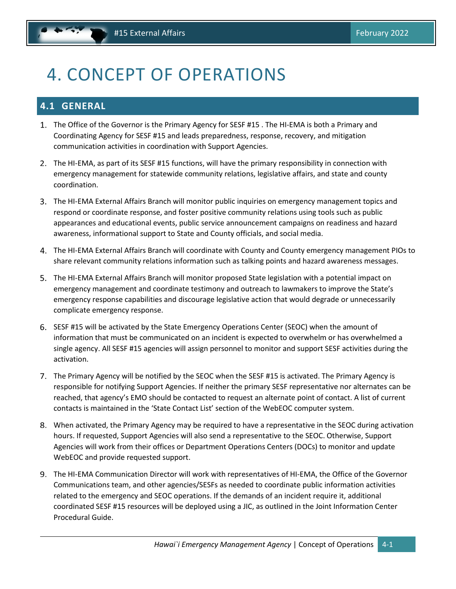## <span id="page-14-2"></span><span id="page-14-0"></span>4. CONCEPT OF OPERATIONS

## <span id="page-14-1"></span>**4.1 GENERAL**

- The Office of the Governor is the Primary Agency for SESF #15 . The HI-EMA is both a Primary and Coordinating Agency for SESF #15 and leads preparedness, response, recovery, and mitigation communication activities in coordination with Support Agencies.
- The HI-EMA, as part of its SESF #15 functions, will have the primary responsibility in connection with emergency management for statewide community relations, legislative affairs, and state and county coordination.
- The HI-EMA External Affairs Branch will monitor public inquiries on emergency management topics and respond or coordinate response, and foster positive community relations using tools such as public appearances and educational events, public service announcement campaigns on readiness and hazard awareness, informational support to State and County officials, and social media.
- The HI-EMA External Affairs Branch will coordinate with County and County emergency management PIOs to share relevant community relations information such as talking points and hazard awareness messages.
- The HI-EMA External Affairs Branch will monitor proposed State legislation with a potential impact on emergency management and coordinate testimony and outreach to lawmakers to improve the State's emergency response capabilities and discourage legislative action that would degrade or unnecessarily complicate emergency response.
- SESF #15 will be activated by the State Emergency Operations Center (SEOC) when the amount of information that must be communicated on an incident is expected to overwhelm or has overwhelmed a single agency. All SESF #15 agencies will assign personnel to monitor and support SESF activities during the activation.
- 7. The Primary Agency will be notified by the SEOC when the SESF #15 is activated. The Primary Agency is responsible for notifying Support Agencies. If neither the primary SESF representative nor alternates can be reached, that agency's EMO should be contacted to request an alternate point of contact. A list of current contacts is maintained in the 'State Contact List' section of the WebEOC computer system.
- When activated, the Primary Agency may be required to have a representative in the SEOC during activation hours. If requested, Support Agencies will also send a representative to the SEOC. Otherwise, Support Agencies will work from their offices or Department Operations Centers (DOCs) to monitor and update WebEOC and provide requested support.
- The HI-EMA Communication Director will work with representatives of HI-EMA, the Office of the Governor Communications team, and other agencies/SESFs as needed to coordinate public information activities related to the emergency and SEOC operations. If the demands of an incident require it, additional coordinated SESF #15 resources will be deployed using a JIC, as outlined in the Joint Information Center Procedural Guide.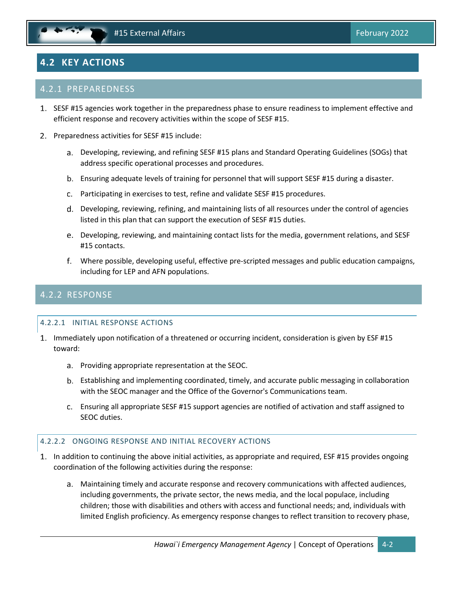## <span id="page-15-3"></span><span id="page-15-0"></span>**4.2 KEY ACTIONS**

#### <span id="page-15-1"></span>4.2.1 PREPAREDNESS

- 1. SESF #15 agencies work together in the preparedness phase to ensure readiness to implement effective and efficient response and recovery activities within the scope of SESF #15.
- 2. Preparedness activities for SESF #15 include:
	- Developing, reviewing, and refining SESF #15 plans and Standard Operating Guidelines (SOGs) that address specific operational processes and procedures.
	- Ensuring adequate levels of training for personnel that will support SESF #15 during a disaster.
	- Participating in exercises to test, refine and validate SESF #15 procedures.
	- Developing, reviewing, refining, and maintaining lists of all resources under the control of agencies listed in this plan that can support the execution of SESF #15 duties.
	- Developing, reviewing, and maintaining contact lists for the media, government relations, and SESF #15 contacts.
	- Where possible, developing useful, effective pre-scripted messages and public education campaigns, including for LEP and AFN populations.

### <span id="page-15-2"></span>4.2.2 RESPONSE

#### 4.2.2.1 INITIAL RESPONSE ACTIONS

- 1. Immediately upon notification of a threatened or occurring incident, consideration is given by ESF #15 toward:
	- Providing appropriate representation at the SEOC.
	- Establishing and implementing coordinated, timely, and accurate public messaging in collaboration with the SEOC manager and the Office of the Governor's Communications team.
	- Ensuring all appropriate SESF #15 support agencies are notified of activation and staff assigned to SEOC duties.

#### 4.2.2.2 ONGOING RESPONSE AND INITIAL RECOVERY ACTIONS

- In addition to continuing the above initial activities, as appropriate and required, ESF #15 provides ongoing coordination of the following activities during the response:
	- Maintaining timely and accurate response and recovery communications with affected audiences, including governments, the private sector, the news media, and the local populace, including children; those with disabilities and others with access and functional needs; and, individuals with limited English proficiency. As emergency response changes to reflect transition to recovery phase,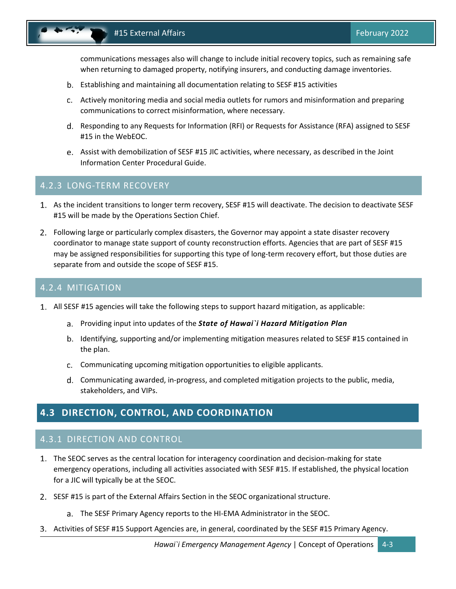<span id="page-16-4"></span>communications messages also will change to include initial recovery topics, such as remaining safe when returning to damaged property, notifying insurers, and conducting damage inventories.

- Establishing and maintaining all documentation relating to SESF #15 activities
- Actively monitoring media and social media outlets for rumors and misinformation and preparing communications to correct misinformation, where necessary.
- d. Responding to any Requests for Information (RFI) or Requests for Assistance (RFA) assigned to SESF #15 in the WebEOC.
- Assist with demobilization of SESF #15 JIC activities, where necessary, as described in the Joint Information Center Procedural Guide.

#### <span id="page-16-0"></span>4.2.3 LONG-TERM RECOVERY

- As the incident transitions to longer term recovery, SESF #15 will deactivate. The decision to deactivate SESF #15 will be made by the Operations Section Chief.
- Following large or particularly complex disasters, the Governor may appoint a state disaster recovery coordinator to manage state support of county reconstruction efforts. Agencies that are part of SESF #15 may be assigned responsibilities for supporting this type of long-term recovery effort, but those duties are separate from and outside the scope of SESF #15.

#### <span id="page-16-1"></span>4.2.4 MITIGATION

- All SESF #15 agencies will take the following steps to support hazard mitigation, as applicable:
	- Providing input into updates of the *State of Hawai`i Hazard Mitigation Plan*
	- b. Identifying, supporting and/or implementing mitigation measures related to SESF #15 contained in the plan.
	- Communicating upcoming mitigation opportunities to eligible applicants.
	- Communicating awarded, in-progress, and completed mitigation projects to the public, media, stakeholders, and VIPs.

### <span id="page-16-2"></span>**4.3 DIRECTION, CONTROL, AND COORDINATION**

#### <span id="page-16-3"></span>4.3.1 DIRECTION AND CONTROL

- The SEOC serves as the central location for interagency coordination and decision-making for state emergency operations, including all activities associated with SESF #15. If established, the physical location for a JIC will typically be at the SEOC.
- 2. SESF #15 is part of the External Affairs Section in the SEOC organizational structure.
	- The SESF Primary Agency reports to the HI-EMA Administrator in the SEOC.
- 3. Activities of SESF #15 Support Agencies are, in general, coordinated by the SESF #15 Primary Agency.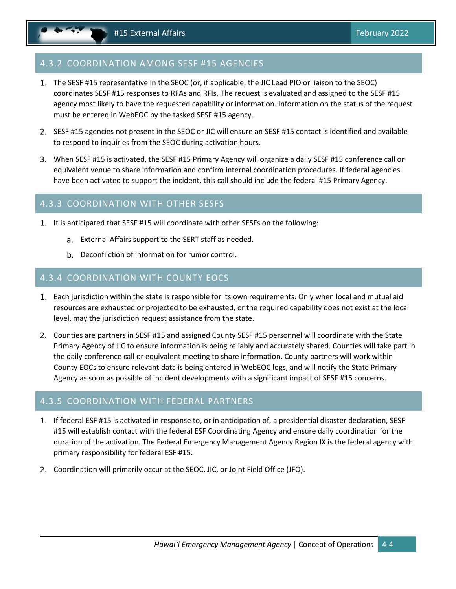### <span id="page-17-4"></span><span id="page-17-0"></span>4.3.2 COORDINATION AMONG SESF #15 AGENCIES

- The SESF #15 representative in the SEOC (or, if applicable, the JIC Lead PIO or liaison to the SEOC) coordinates SESF #15 responses to RFAs and RFIs. The request is evaluated and assigned to the SESF #15 agency most likely to have the requested capability or information. Information on the status of the request must be entered in WebEOC by the tasked SESF #15 agency.
- 2. SESF #15 agencies not present in the SEOC or JIC will ensure an SESF #15 contact is identified and available to respond to inquiries from the SEOC during activation hours.
- When SESF #15 is activated, the SESF #15 Primary Agency will organize a daily SESF #15 conference call or equivalent venue to share information and confirm internal coordination procedures. If federal agencies have been activated to support the incident, this call should include the federal #15 Primary Agency.

#### <span id="page-17-1"></span>4.3.3 COORDINATION WITH OTHER SESFS

- 1. It is anticipated that SESF #15 will coordinate with other SESFs on the following:
	- External Affairs support to the SERT staff as needed.
	- b. Deconfliction of information for rumor control.

#### <span id="page-17-2"></span>4.3.4 COORDINATION WITH COUNTY EOCS

- Each jurisdiction within the state is responsible for its own requirements. Only when local and mutual aid resources are exhausted or projected to be exhausted, or the required capability does not exist at the local level, may the jurisdiction request assistance from the state.
- Counties are partners in SESF #15 and assigned County SESF #15 personnel will coordinate with the State Primary Agency of JIC to ensure information is being reliably and accurately shared. Counties will take part in the daily conference call or equivalent meeting to share information. County partners will work within County EOCs to ensure relevant data is being entered in WebEOC logs, and will notify the State Primary Agency as soon as possible of incident developments with a significant impact of SESF #15 concerns.

#### <span id="page-17-3"></span>4.3.5 COORDINATION WITH FEDERAL PARTNERS

- 1. If federal ESF #15 is activated in response to, or in anticipation of, a presidential disaster declaration, SESF #15 will establish contact with the federal ESF Coordinating Agency and ensure daily coordination for the duration of the activation. The Federal Emergency Management Agency Region IX is the federal agency with primary responsibility for federal ESF #15.
- Coordination will primarily occur at the SEOC, JIC, or Joint Field Office (JFO).